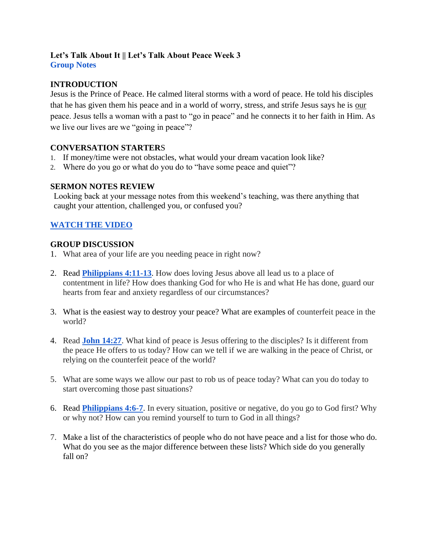#### **Let's Talk About It || Let's Talk About Peace Week 3 Group Notes**

## **INTRODUCTION**

Jesus is the Prince of Peace. He calmed literal storms with a word of peace. He told his disciples that he has given them his peace and in a world of worry, stress, and strife Jesus says he is our peace. Jesus tells a woman with a past to "go in peace" and he connects it to her faith in Him. As we live our lives are we "going in peace"?

## **CONVERSATION STARTER**S

- 1. If money/time were not obstacles, what would your dream vacation look like?
- 2. Where do you go or what do you do to "have some peace and quiet"?

## **SERMON NOTES REVIEW**

Looking back at your message notes from this weekend's teaching, was there anything that caught your attention, challenged you, or confused you?

# **[WATCH THE VIDEO](https://youtu.be/M7ZWPu_dsHA)**

### **GROUP DISCUSSION**

- 1. What area of your life are you needing peace in right now?
- 2. Read **[Philippians 4:11-13](https://www.biblegateway.com/passage/?search=PHILIPPIANS+4%3A11-13&version=NIV)**. How does loving Jesus above all lead us to a place of contentment in life? How does thanking God for who He is and what He has done, guard our hearts from fear and anxiety regardless of our circumstances?
- 3. What is the easiest way to destroy your peace? What are examples of counterfeit peace in the world?
- 4. Read **[John 14:27](https://www.biblegateway.com/passage/?search=John+14%3A27&version=NIV)**. What kind of peace is Jesus offering to the disciples? Is it different from the peace He offers to us today? How can we tell if we are walking in the peace of Christ, or relying on the counterfeit peace of the world?
- 5. What are some ways we allow our past to rob us of peace today? What can you do today to start overcoming those past situations?
- 6. Read **[Philippians 4:6-7](https://www.biblegateway.com/passage/?search=Philippians+4%3A6-7&version=NIV)**. In every situation, positive or negative, do you go to God first? Why or why not? How can you remind yourself to turn to God in all things?
- 7. Make a list of the characteristics of people who do not have peace and a list for those who do. What do you see as the major difference between these lists? Which side do you generally fall on?